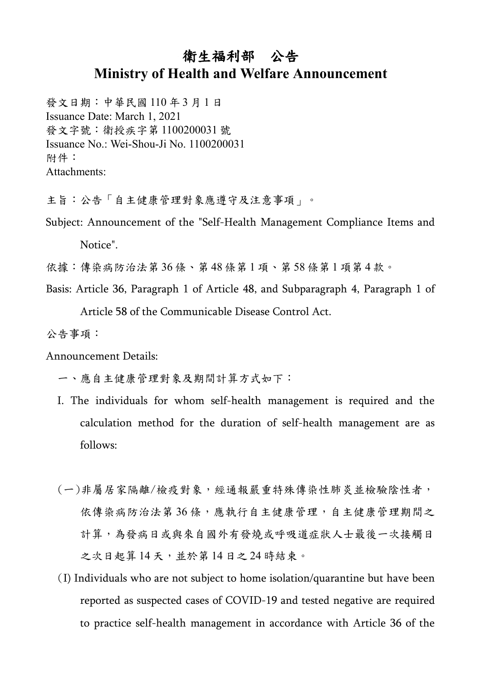## 衛生福利部 公告 **Ministry of Health and Welfare Announcement**

發文日期:中華民國 110 年 3 月 1 日 Issuance Date: March 1, 2021 發文字號:衛授疾字第 1100200031 號 Issuance No.: Wei-Shou-Ji No. 1100200031 附件: Attachments:

主旨:公告「自主健康管理對象應遵守及注意事項」。

Subject: Announcement of the "Self-Health Management Compliance Items and

Notice".

依據:傳染病防治法第36條、第48條第1項、第58條第1項第4款。

Basis: Article 36, Paragraph 1 of Article 48, and Subparagraph 4, Paragraph 1 of

Article 58 of the Communicable Disease Control Act.

公告事項:

Announcement Details:

一、應自主健康管理對象及期間計算方式如下:

- I. The individuals for whom self-health management is required and the calculation method for the duration of self-health management are as follows:
- (一)非屬居家隔離/檢疫對象,經通報嚴重特殊傳染性肺炎並檢驗陰性者, 依傳染病防治法第36條,應執行自主健康管理,自主健康管理期間之 計算,為發病日或與來自國外有發燒或呼吸道症狀人士最後一次接觸日 之次日起算 14 天,並於第 14 日之 24 時結束。
- (I) Individuals who are not subject to home isolation/quarantine but have been reported as suspected cases of COVID-19 and tested negative are required to practice self-health management in accordance with Article 36 of the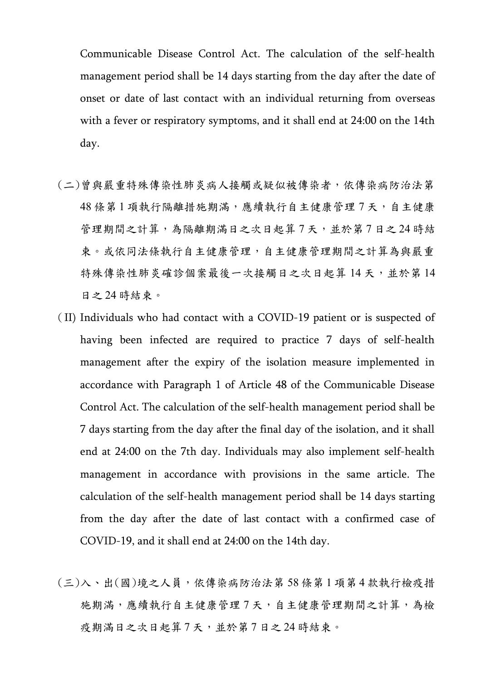Communicable Disease Control Act. The calculation of the self-health management period shall be 14 days starting from the day after the date of onset or date of last contact with an individual returning from overseas with a fever or respiratory symptoms, and it shall end at 24:00 on the 14th day.

- (二)曾與嚴重特殊傳染性肺炎病人接觸或疑似被傳染者,依傳染病防治法第 48條第1項執行隔離措施期滿,應續執行自主健康管理7天,自主健康 管理期間之計算,為隔離期滿日之次日起算7天,並於第7日之24時結 束。或依同法條執行自主健康管理,自主健康管理期間之計算為與嚴重 特殊傳染性肺炎確診個案最後一次接觸日之次日起算14天,並於第14 日之 24 時結束。
- (II) Individuals who had contact with a COVID-19 patient or is suspected of having been infected are required to practice 7 days of self-health management after the expiry of the isolation measure implemented in accordance with Paragraph 1 of Article 48 of the Communicable Disease Control Act. The calculation of the self-health management period shall be 7 days starting from the day after the final day of the isolation, and it shall end at 24:00 on the 7th day. Individuals may also implement self-health management in accordance with provisions in the same article. The calculation of the self-health management period shall be 14 days starting from the day after the date of last contact with a confirmed case of COVID-19, and it shall end at 24:00 on the 14th day.
- (三)入、出(國)境之人員,依傳染病防治法第 58 條第 1 項第 4 款執行檢疫措 施期滿,應續執行自主健康管理7天,自主健康管理期間之計算,為檢 疫期滿日之次日起算7天,並於第7日之24時結束。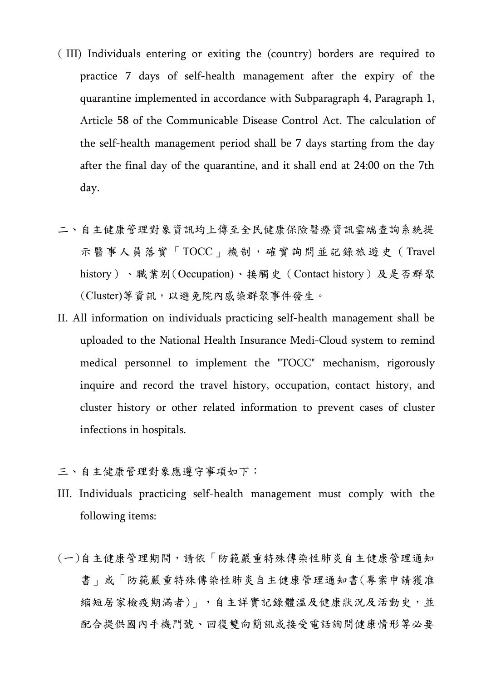- ( III) Individuals entering or exiting the (country) borders are required to practice 7 days of self-health management after the expiry of the quarantine implemented in accordance with Subparagraph 4, Paragraph 1, Article 58 of the Communicable Disease Control Act. The calculation of the self-health management period shall be 7 days starting from the day after the final day of the quarantine, and it shall end at 24:00 on the 7th day.
- 二、自主健康管理對象資訊均上傳至全民健康保險醫療資訊雲端查詢系統提 示醫事人員落實「TOCC」機制,確實詢問並記錄旅遊史(Travel history)、職業別(Occupation)、接觸史(Contact history)及是否群聚 (Cluster)等資訊,以避免院內感染群聚事件發生。
- II. All information on individuals practicing self-health management shall be uploaded to the National Health Insurance Medi-Cloud system to remind medical personnel to implement the "TOCC" mechanism, rigorously inquire and record the travel history, occupation, contact history, and cluster history or other related information to prevent cases of cluster infections in hospitals.
- 三、自主健康管理對象應遵守事項如下:
- III. Individuals practicing self-health management must comply with the following items:
- (一)自主健康管理期間,請依「防範嚴重特殊傳染性肺炎自主健康管理通知 書」或「防範嚴重特殊傳染性肺炎自主健康管理通知書(專案申請獲准 縮短居家檢疫期滿者)」,自主詳實記錄體溫及健康狀況及活動史,並 配合提供國內手機門號、回復雙向簡訊或接受電話詢問健康情形等必要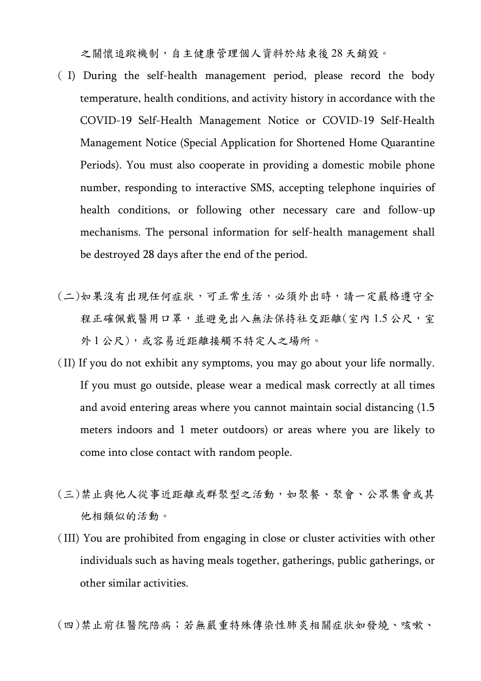之關懷追蹤機制,自主健康管理個人資料於結束後 28 天銷毀。

- ( I) During the self-health management period, please record the body temperature, health conditions, and activity history in accordance with the COVID-19 Self-Health Management Notice or COVID-19 Self-Health Management Notice (Special Application for Shortened Home Quarantine Periods). You must also cooperate in providing a domestic mobile phone number, responding to interactive SMS, accepting telephone inquiries of health conditions, or following other necessary care and follow-up mechanisms. The personal information for self-health management shall be destroyed 28 days after the end of the period.
- (二)如果沒有出現任何症狀,可正常生活,必須外出時,請一定嚴格遵守全 程正確佩戴醫用口罩,並避免出入無法保持社交距離(室內1.5公尺,室 外1公尺),或容易近距離接觸不特定人之場所。
- (II) If you do not exhibit any symptoms, you may go about your life normally. If you must go outside, please wear a medical mask correctly at all times and avoid entering areas where you cannot maintain social distancing (1.5 meters indoors and 1 meter outdoors) or areas where you are likely to come into close contact with random people.
- (三)禁止與他人從事近距離或群聚型之活動,如聚餐、聚會、公眾集會或其 他相類似的活動。
- (III) You are prohibited from engaging in close or cluster activities with other individuals such as having meals together, gatherings, public gatherings, or other similar activities.

(四)禁止前往醫院陪病;若無嚴重特殊傳染性肺炎相關症狀如發燒、咳嗽、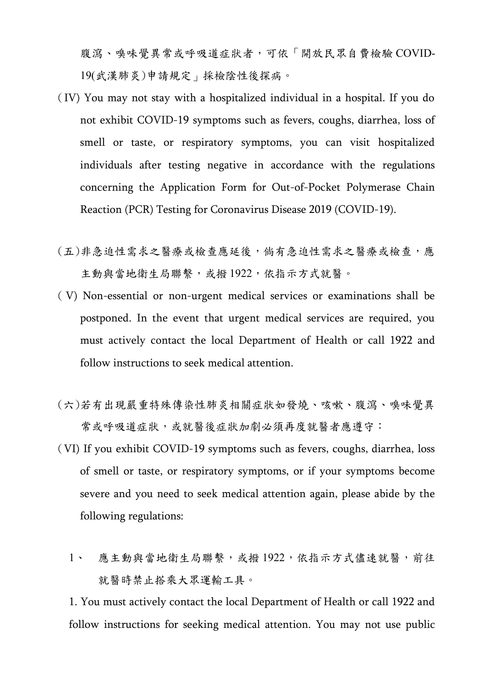腹瀉、嗅味覺異常或呼吸道症狀者,可依「開放民眾自費檢驗 COVID-19(武漢肺炎)申請規定」採檢陰性後探病。

- (IV) You may not stay with a hospitalized individual in a hospital. If you do not exhibit COVID-19 symptoms such as fevers, coughs, diarrhea, loss of smell or taste, or respiratory symptoms, you can visit hospitalized individuals after testing negative in accordance with the regulations concerning the Application Form for Out-of-Pocket Polymerase Chain Reaction (PCR) Testing for Coronavirus Disease 2019 (COVID-19).
- (五)非急迫性需求之醫療或檢查應延後,倘有急迫性需求之醫療或檢查,應 主動與當地衛生局聯繫,或撥 1922,依指示方式就醫。
- ( V) Non-essential or non-urgent medical services or examinations shall be postponed. In the event that urgent medical services are required, you must actively contact the local Department of Health or call 1922 and follow instructions to seek medical attention.
- (六)若有出現嚴重特殊傳染性肺炎相關症狀如發燒、咳嗽、腹瀉、嗅味覺異 常或呼吸道症狀,或就醫後症狀加劇必須再度就醫者應遵守:
- (VI) If you exhibit COVID-19 symptoms such as fevers, coughs, diarrhea, loss of smell or taste, or respiratory symptoms, or if your symptoms become severe and you need to seek medical attention again, please abide by the following regulations:
	- 1、 應主動與當地衛生局聯繫,或撥 1922,依指示方式儘速就醫,前往 就醫時禁止搭乘大眾運輸工具。

1. You must actively contact the local Department of Health or call 1922 and follow instructions for seeking medical attention. You may not use public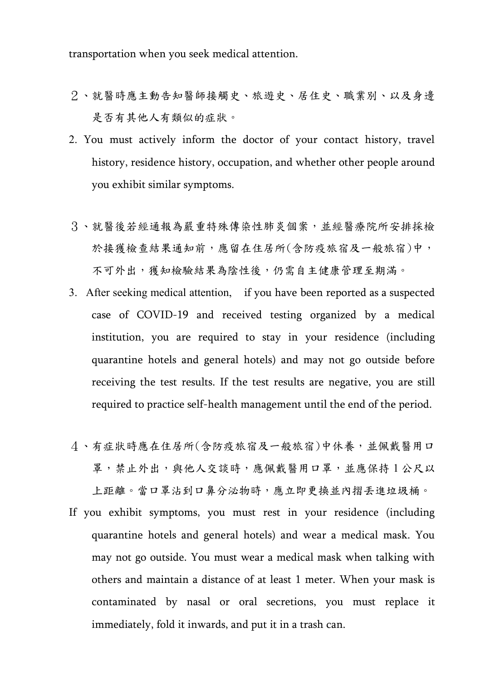transportation when you seek medical attention.

- 2、就醫時應主動告知醫師接觸史、旅遊史、居住史、職業別、以及身邊 是否有其他人有類似的症狀。
- 2. You must actively inform the doctor of your contact history, travel history, residence history, occupation, and whether other people around you exhibit similar symptoms.
- 3、就醫後若經通報為嚴重特殊傳染性肺炎個案,並經醫療院所安排採檢 於接獲檢查結果通知前,應留在住居所(含防疫旅宿及一般旅宿)中, 不可外出,獲知檢驗結果為陰性後,仍需自主健康管理至期滿。
- 3. After seeking medical attention, if you have been reported as a suspected case of COVID-19 and received testing organized by a medical institution, you are required to stay in your residence (including quarantine hotels and general hotels) and may not go outside before receiving the test results. If the test results are negative, you are still required to practice self-health management until the end of the period.
- 4、有症狀時應在住居所(含防疫旅宿及一般旅宿)中休養,並佩戴醫用口 罩,禁止外出,與他人交談時,應佩戴醫用口罩,並應保持1公尺以 上距離。當口罩沾到口鼻分泌物時,應立即更換並內摺丟進垃圾桶。
- If you exhibit symptoms, you must rest in your residence (including quarantine hotels and general hotels) and wear a medical mask. You may not go outside. You must wear a medical mask when talking with others and maintain a distance of at least 1 meter. When your mask is contaminated by nasal or oral secretions, you must replace it immediately, fold it inwards, and put it in a trash can.